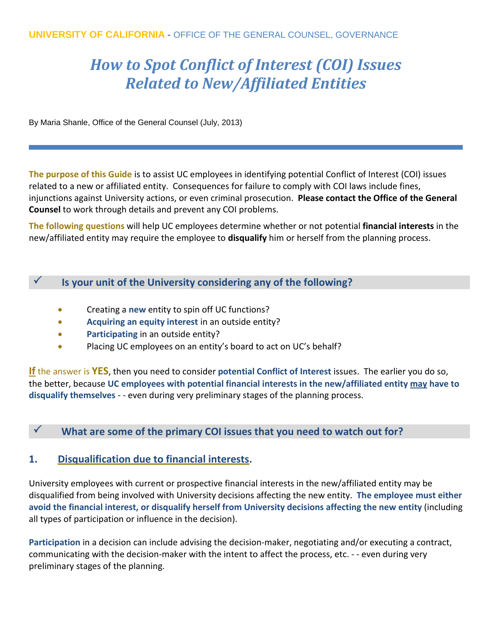# *How to Spot Conflict of Interest (COI) Issues Related to New/Affiliated Entities*

By Maria Shanle, Office of the General Counsel (July, 2013)

**The purpose of this Guide** is to assist UC employees in identifying potential Conflict of Interest (COI) issues related to a new or affiliated entity. Consequences for failure to comply with COI laws include fines, injunctions against University actions, or even criminal prosecution. **Please contact the Office of the General Counsel** to work through details and prevent any COI problems.

**The following questions** will help UC employees determine whether or not potential **financial interests** in the new/affiliated entity may require the employee to **disqualify** him or herself from the planning process.

#### **Is your unit of the University considering any of the following?**

- Creating a **new** entity to spin off UC functions?
- **Acquiring an equity interest** in an outside entity?
- **Participating** in an outside entity?
- Placing UC employees on an entity's board to act on UC's behalf?

**If** the answer is **YES**, then you need to consider **potential Conflict of Interest** issues. The earlier you do so, the better, because **UC employees with potential financial interests in the new/affiliated entity may have to disqualify themselves** - - even during very preliminary stages of the planning process.

## **What are some of the primary COI issues that you need to watch out for?**

## **1. Disqualification due to financial interests.**

University employees with current or prospective financial interests in the new/affiliated entity may be disqualified from being involved with University decisions affecting the new entity. **The employee must either avoid the financial interest, or disqualify herself from University decisions affecting the new entity** (including all types of participation or influence in the decision).

**Participation** in a decision can include advising the decision-maker, negotiating and/or executing a contract, communicating with the decision-maker with the intent to affect the process, etc. - - even during very preliminary stages of the planning.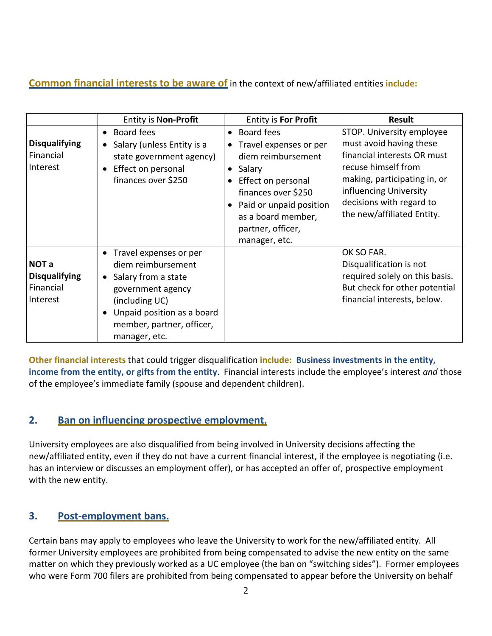# **Common financial interests to be aware of** in the context of new/affiliated entities **include:**

|                                                        | <b>Entity is Non-Profit</b>                                                                                                                                                                           | <b>Entity is For Profit</b>                                                                                                                                                                                               | <b>Result</b>                                                                                                                                                                                                                  |
|--------------------------------------------------------|-------------------------------------------------------------------------------------------------------------------------------------------------------------------------------------------------------|---------------------------------------------------------------------------------------------------------------------------------------------------------------------------------------------------------------------------|--------------------------------------------------------------------------------------------------------------------------------------------------------------------------------------------------------------------------------|
| <b>Disqualifying</b><br>Financial<br>Interest          | Board fees<br>$\bullet$<br>Salary (unless Entity is a<br>state government agency)<br>Effect on personal<br>finances over \$250                                                                        | • Board fees<br>• Travel expenses or per<br>diem reimbursement<br>Salary<br>$\bullet$<br>Effect on personal<br>finances over \$250<br>Paid or unpaid position<br>as a board member,<br>partner, officer,<br>manager, etc. | STOP. University employee<br>must avoid having these<br>financial interests OR must<br>recuse himself from<br>making, participating in, or<br>influencing University<br>decisions with regard to<br>the new/affiliated Entity. |
| NOT a<br><b>Disqualifying</b><br>Financial<br>Interest | • Travel expenses or per<br>diem reimbursement<br>Salary from a state<br>$\bullet$<br>government agency<br>(including UC)<br>Unpaid position as a board<br>member, partner, officer,<br>manager, etc. |                                                                                                                                                                                                                           | OK SO FAR.<br>Disqualification is not<br>required solely on this basis.<br>But check for other potential<br>financial interests, below.                                                                                        |

**Other financial interests** that could trigger disqualification **include: Business investments in the entity, income from the entity, or gifts from the entity**. Financial interests include the employee's interest *and* those of the employee's immediate family (spouse and dependent children).

# **2. Ban on influencing prospective employment.**

University employees are also disqualified from being involved in University decisions affecting the new/affiliated entity, even if they do not have a current financial interest, if the employee is negotiating (i.e. has an interview or discusses an employment offer), or has accepted an offer of, prospective employment with the new entity.

## **3. Post-employment bans.**

Certain bans may apply to employees who leave the University to work for the new/affiliated entity. All former University employees are prohibited from being compensated to advise the new entity on the same matter on which they previously worked as a UC employee (the ban on "switching sides"). Former employees who were Form 700 filers are prohibited from being compensated to appear before the University on behalf